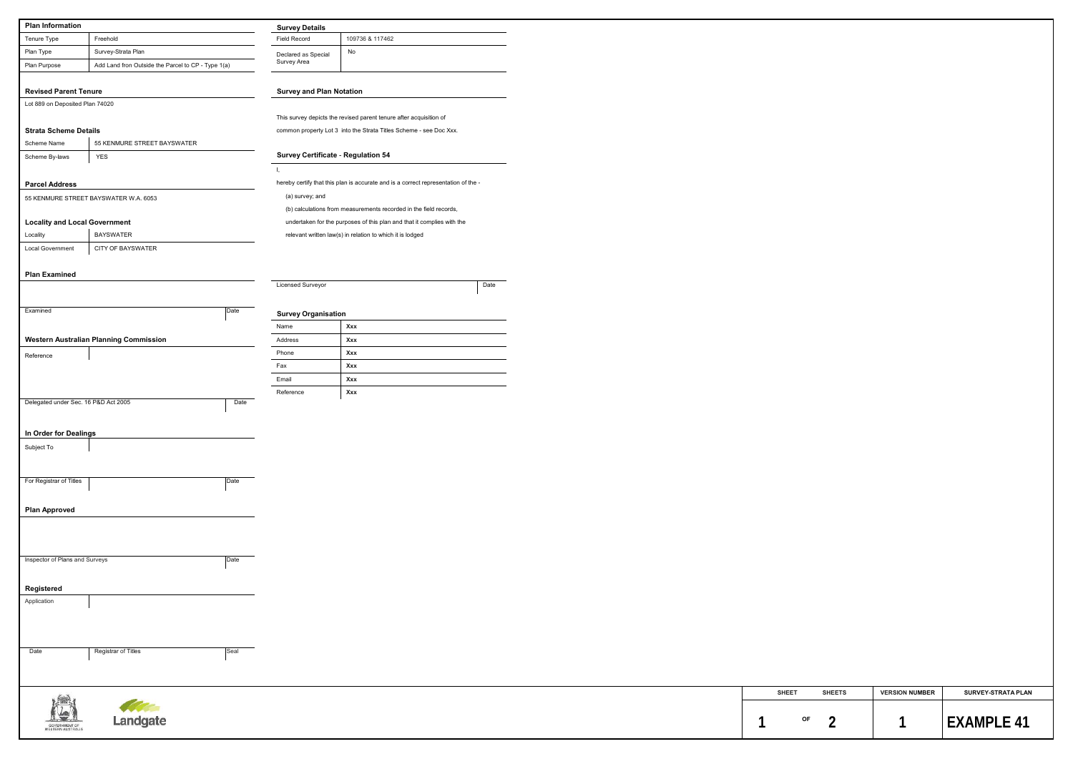| Freehold<br>Field Record<br>109736 & 117462<br>Survey-Strata Plan<br>No<br>Declared as Special<br>Survey Area<br>Add Land fron Outside the Parcel to CP - Type 1(a)<br><b>Survey and Plan Notation</b><br>This survey depicts the revised parent tenure after acquisition of<br>common property Lot 3 into the Strata Titles Scheme - see Doc Xxx.<br>55 KENMURE STREET BAYSWATER<br><b>Survey Certificate - Regulation 54</b><br><b>YES</b><br>-1.<br>hereby certify that this plan is accurate and is a correct representation of the -<br>(a) survey; and<br>(b) calculations from measurements recorded in the field records,<br>undertaken for the purposes of this plan and that it complies with the<br><b>BAYSWATER</b><br>relevant written law(s) in relation to which it is lodged<br>CITY OF BAYSWATER<br><b>Licensed Surveyor</b><br>Date<br>Date<br><b>Survey Organisation</b><br>Xxx<br>Name<br>Address<br>Xxx<br>Phone<br>Xxx<br>Fax<br>Xxx<br>Email<br>Xxx<br>Xxx<br>Reference<br>Date<br>Date<br>Date<br>Registrar of Titles<br>Seal<br>Date<br><b>LEA</b> | <b>Plan Information</b>                |                                                                                                                      |  | <b>Survey Details</b> |  |  |  |  |
|-----------------------------------------------------------------------------------------------------------------------------------------------------------------------------------------------------------------------------------------------------------------------------------------------------------------------------------------------------------------------------------------------------------------------------------------------------------------------------------------------------------------------------------------------------------------------------------------------------------------------------------------------------------------------------------------------------------------------------------------------------------------------------------------------------------------------------------------------------------------------------------------------------------------------------------------------------------------------------------------------------------------------------------------------------------------------------|----------------------------------------|----------------------------------------------------------------------------------------------------------------------|--|-----------------------|--|--|--|--|
| Lot 889 on Deposited Plan 74020<br><b>Strata Scheme Details</b><br>Scheme Name<br><b>Parcel Address</b><br>55 KENMURE STREET BAYSWATER W.A. 6053<br><b>Locality and Local Government</b><br>Locality<br><b>Local Government</b><br>Reference<br>Delegated under Sec. 16 P&D Act 2005<br>In Order for Dealings<br>For Registrar of Titles<br>Inspector of Plans and Surveys<br>Registered<br>Application                                                                                                                                                                                                                                                                                                                                                                                                                                                                                                                                                                                                                                                                     | Tenure Type                            |                                                                                                                      |  |                       |  |  |  |  |
|                                                                                                                                                                                                                                                                                                                                                                                                                                                                                                                                                                                                                                                                                                                                                                                                                                                                                                                                                                                                                                                                             | Plan Type                              |                                                                                                                      |  |                       |  |  |  |  |
|                                                                                                                                                                                                                                                                                                                                                                                                                                                                                                                                                                                                                                                                                                                                                                                                                                                                                                                                                                                                                                                                             | Plan Purpose                           |                                                                                                                      |  |                       |  |  |  |  |
|                                                                                                                                                                                                                                                                                                                                                                                                                                                                                                                                                                                                                                                                                                                                                                                                                                                                                                                                                                                                                                                                             | <b>Revised Parent Tenure</b>           |                                                                                                                      |  |                       |  |  |  |  |
|                                                                                                                                                                                                                                                                                                                                                                                                                                                                                                                                                                                                                                                                                                                                                                                                                                                                                                                                                                                                                                                                             |                                        |                                                                                                                      |  |                       |  |  |  |  |
|                                                                                                                                                                                                                                                                                                                                                                                                                                                                                                                                                                                                                                                                                                                                                                                                                                                                                                                                                                                                                                                                             |                                        |                                                                                                                      |  |                       |  |  |  |  |
|                                                                                                                                                                                                                                                                                                                                                                                                                                                                                                                                                                                                                                                                                                                                                                                                                                                                                                                                                                                                                                                                             |                                        |                                                                                                                      |  |                       |  |  |  |  |
|                                                                                                                                                                                                                                                                                                                                                                                                                                                                                                                                                                                                                                                                                                                                                                                                                                                                                                                                                                                                                                                                             |                                        |                                                                                                                      |  |                       |  |  |  |  |
|                                                                                                                                                                                                                                                                                                                                                                                                                                                                                                                                                                                                                                                                                                                                                                                                                                                                                                                                                                                                                                                                             | Scheme By-laws                         |                                                                                                                      |  |                       |  |  |  |  |
|                                                                                                                                                                                                                                                                                                                                                                                                                                                                                                                                                                                                                                                                                                                                                                                                                                                                                                                                                                                                                                                                             |                                        |                                                                                                                      |  |                       |  |  |  |  |
|                                                                                                                                                                                                                                                                                                                                                                                                                                                                                                                                                                                                                                                                                                                                                                                                                                                                                                                                                                                                                                                                             |                                        |                                                                                                                      |  |                       |  |  |  |  |
|                                                                                                                                                                                                                                                                                                                                                                                                                                                                                                                                                                                                                                                                                                                                                                                                                                                                                                                                                                                                                                                                             |                                        |                                                                                                                      |  |                       |  |  |  |  |
|                                                                                                                                                                                                                                                                                                                                                                                                                                                                                                                                                                                                                                                                                                                                                                                                                                                                                                                                                                                                                                                                             |                                        |                                                                                                                      |  |                       |  |  |  |  |
|                                                                                                                                                                                                                                                                                                                                                                                                                                                                                                                                                                                                                                                                                                                                                                                                                                                                                                                                                                                                                                                                             |                                        |                                                                                                                      |  |                       |  |  |  |  |
|                                                                                                                                                                                                                                                                                                                                                                                                                                                                                                                                                                                                                                                                                                                                                                                                                                                                                                                                                                                                                                                                             |                                        |                                                                                                                      |  |                       |  |  |  |  |
|                                                                                                                                                                                                                                                                                                                                                                                                                                                                                                                                                                                                                                                                                                                                                                                                                                                                                                                                                                                                                                                                             |                                        |                                                                                                                      |  |                       |  |  |  |  |
|                                                                                                                                                                                                                                                                                                                                                                                                                                                                                                                                                                                                                                                                                                                                                                                                                                                                                                                                                                                                                                                                             | <b>Plan Examined</b>                   |                                                                                                                      |  |                       |  |  |  |  |
|                                                                                                                                                                                                                                                                                                                                                                                                                                                                                                                                                                                                                                                                                                                                                                                                                                                                                                                                                                                                                                                                             |                                        |                                                                                                                      |  |                       |  |  |  |  |
|                                                                                                                                                                                                                                                                                                                                                                                                                                                                                                                                                                                                                                                                                                                                                                                                                                                                                                                                                                                                                                                                             |                                        |                                                                                                                      |  |                       |  |  |  |  |
|                                                                                                                                                                                                                                                                                                                                                                                                                                                                                                                                                                                                                                                                                                                                                                                                                                                                                                                                                                                                                                                                             | Examined                               |                                                                                                                      |  |                       |  |  |  |  |
|                                                                                                                                                                                                                                                                                                                                                                                                                                                                                                                                                                                                                                                                                                                                                                                                                                                                                                                                                                                                                                                                             |                                        |                                                                                                                      |  |                       |  |  |  |  |
|                                                                                                                                                                                                                                                                                                                                                                                                                                                                                                                                                                                                                                                                                                                                                                                                                                                                                                                                                                                                                                                                             | Western Australian Planning Commission |                                                                                                                      |  |                       |  |  |  |  |
|                                                                                                                                                                                                                                                                                                                                                                                                                                                                                                                                                                                                                                                                                                                                                                                                                                                                                                                                                                                                                                                                             |                                        |                                                                                                                      |  |                       |  |  |  |  |
|                                                                                                                                                                                                                                                                                                                                                                                                                                                                                                                                                                                                                                                                                                                                                                                                                                                                                                                                                                                                                                                                             |                                        |                                                                                                                      |  |                       |  |  |  |  |
|                                                                                                                                                                                                                                                                                                                                                                                                                                                                                                                                                                                                                                                                                                                                                                                                                                                                                                                                                                                                                                                                             |                                        |                                                                                                                      |  |                       |  |  |  |  |
|                                                                                                                                                                                                                                                                                                                                                                                                                                                                                                                                                                                                                                                                                                                                                                                                                                                                                                                                                                                                                                                                             |                                        |                                                                                                                      |  |                       |  |  |  |  |
|                                                                                                                                                                                                                                                                                                                                                                                                                                                                                                                                                                                                                                                                                                                                                                                                                                                                                                                                                                                                                                                                             |                                        |                                                                                                                      |  |                       |  |  |  |  |
|                                                                                                                                                                                                                                                                                                                                                                                                                                                                                                                                                                                                                                                                                                                                                                                                                                                                                                                                                                                                                                                                             |                                        |                                                                                                                      |  |                       |  |  |  |  |
|                                                                                                                                                                                                                                                                                                                                                                                                                                                                                                                                                                                                                                                                                                                                                                                                                                                                                                                                                                                                                                                                             |                                        |                                                                                                                      |  |                       |  |  |  |  |
|                                                                                                                                                                                                                                                                                                                                                                                                                                                                                                                                                                                                                                                                                                                                                                                                                                                                                                                                                                                                                                                                             | Subject To                             |                                                                                                                      |  |                       |  |  |  |  |
|                                                                                                                                                                                                                                                                                                                                                                                                                                                                                                                                                                                                                                                                                                                                                                                                                                                                                                                                                                                                                                                                             |                                        |                                                                                                                      |  |                       |  |  |  |  |
|                                                                                                                                                                                                                                                                                                                                                                                                                                                                                                                                                                                                                                                                                                                                                                                                                                                                                                                                                                                                                                                                             |                                        |                                                                                                                      |  |                       |  |  |  |  |
|                                                                                                                                                                                                                                                                                                                                                                                                                                                                                                                                                                                                                                                                                                                                                                                                                                                                                                                                                                                                                                                                             |                                        |                                                                                                                      |  |                       |  |  |  |  |
|                                                                                                                                                                                                                                                                                                                                                                                                                                                                                                                                                                                                                                                                                                                                                                                                                                                                                                                                                                                                                                                                             |                                        |                                                                                                                      |  |                       |  |  |  |  |
|                                                                                                                                                                                                                                                                                                                                                                                                                                                                                                                                                                                                                                                                                                                                                                                                                                                                                                                                                                                                                                                                             | <b>Plan Approved</b>                   |                                                                                                                      |  |                       |  |  |  |  |
|                                                                                                                                                                                                                                                                                                                                                                                                                                                                                                                                                                                                                                                                                                                                                                                                                                                                                                                                                                                                                                                                             |                                        |                                                                                                                      |  |                       |  |  |  |  |
|                                                                                                                                                                                                                                                                                                                                                                                                                                                                                                                                                                                                                                                                                                                                                                                                                                                                                                                                                                                                                                                                             |                                        |                                                                                                                      |  |                       |  |  |  |  |
|                                                                                                                                                                                                                                                                                                                                                                                                                                                                                                                                                                                                                                                                                                                                                                                                                                                                                                                                                                                                                                                                             |                                        |                                                                                                                      |  |                       |  |  |  |  |
|                                                                                                                                                                                                                                                                                                                                                                                                                                                                                                                                                                                                                                                                                                                                                                                                                                                                                                                                                                                                                                                                             |                                        |                                                                                                                      |  |                       |  |  |  |  |
|                                                                                                                                                                                                                                                                                                                                                                                                                                                                                                                                                                                                                                                                                                                                                                                                                                                                                                                                                                                                                                                                             |                                        |                                                                                                                      |  |                       |  |  |  |  |
|                                                                                                                                                                                                                                                                                                                                                                                                                                                                                                                                                                                                                                                                                                                                                                                                                                                                                                                                                                                                                                                                             |                                        |                                                                                                                      |  |                       |  |  |  |  |
|                                                                                                                                                                                                                                                                                                                                                                                                                                                                                                                                                                                                                                                                                                                                                                                                                                                                                                                                                                                                                                                                             |                                        |                                                                                                                      |  |                       |  |  |  |  |
|                                                                                                                                                                                                                                                                                                                                                                                                                                                                                                                                                                                                                                                                                                                                                                                                                                                                                                                                                                                                                                                                             |                                        |                                                                                                                      |  |                       |  |  |  |  |
|                                                                                                                                                                                                                                                                                                                                                                                                                                                                                                                                                                                                                                                                                                                                                                                                                                                                                                                                                                                                                                                                             |                                        |                                                                                                                      |  |                       |  |  |  |  |
|                                                                                                                                                                                                                                                                                                                                                                                                                                                                                                                                                                                                                                                                                                                                                                                                                                                                                                                                                                                                                                                                             |                                        |                                                                                                                      |  |                       |  |  |  |  |
|                                                                                                                                                                                                                                                                                                                                                                                                                                                                                                                                                                                                                                                                                                                                                                                                                                                                                                                                                                                                                                                                             |                                        |                                                                                                                      |  |                       |  |  |  |  |
|                                                                                                                                                                                                                                                                                                                                                                                                                                                                                                                                                                                                                                                                                                                                                                                                                                                                                                                                                                                                                                                                             |                                        |                                                                                                                      |  |                       |  |  |  |  |
|                                                                                                                                                                                                                                                                                                                                                                                                                                                                                                                                                                                                                                                                                                                                                                                                                                                                                                                                                                                                                                                                             |                                        |                                                                                                                      |  |                       |  |  |  |  |
|                                                                                                                                                                                                                                                                                                                                                                                                                                                                                                                                                                                                                                                                                                                                                                                                                                                                                                                                                                                                                                                                             |                                        | <b>Contract Contract Contract Contract Contract Contract Contract Contract Contract Contract Contract Contract C</b> |  |                       |  |  |  |  |

| <b>SHEET</b> | <b>SHEETS</b> | <b>VERSION NUMBER</b> | <b>SURVEY-STRATA PLAN</b> |
|--------------|---------------|-----------------------|---------------------------|
| ΟF           |               |                       |                           |